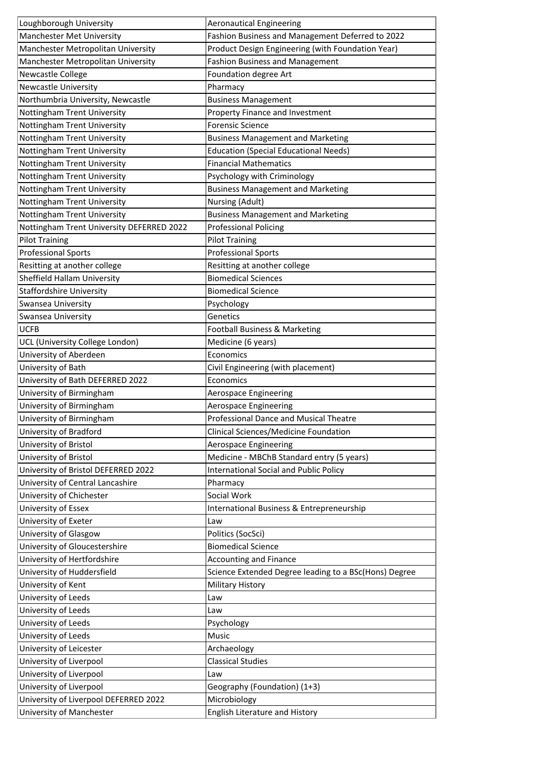| Loughborough University                   | <b>Aeronautical Engineering</b>                       |
|-------------------------------------------|-------------------------------------------------------|
| Manchester Met University                 | Fashion Business and Management Deferred to 2022      |
| Manchester Metropolitan University        | Product Design Engineering (with Foundation Year)     |
| Manchester Metropolitan University        | <b>Fashion Business and Management</b>                |
| Newcastle College                         | Foundation degree Art                                 |
| <b>Newcastle University</b>               | Pharmacy                                              |
| Northumbria University, Newcastle         | <b>Business Management</b>                            |
| Nottingham Trent University               | Property Finance and Investment                       |
| Nottingham Trent University               | <b>Forensic Science</b>                               |
| Nottingham Trent University               | <b>Business Management and Marketing</b>              |
| Nottingham Trent University               | <b>Education (Special Educational Needs)</b>          |
| Nottingham Trent University               | <b>Financial Mathematics</b>                          |
| Nottingham Trent University               | Psychology with Criminology                           |
| Nottingham Trent University               | <b>Business Management and Marketing</b>              |
| Nottingham Trent University               | Nursing (Adult)                                       |
| Nottingham Trent University               | <b>Business Management and Marketing</b>              |
| Nottingham Trent University DEFERRED 2022 | <b>Professional Policing</b>                          |
| <b>Pilot Training</b>                     | <b>Pilot Training</b>                                 |
| <b>Professional Sports</b>                | <b>Professional Sports</b>                            |
| Resitting at another college              | Resitting at another college                          |
| Sheffield Hallam University               | <b>Biomedical Sciences</b>                            |
| <b>Staffordshire University</b>           | <b>Biomedical Science</b>                             |
| Swansea University                        | Psychology                                            |
| Swansea University                        | Genetics                                              |
| <b>UCFB</b>                               | Football Business & Marketing                         |
| UCL (University College London)           | Medicine (6 years)                                    |
| University of Aberdeen                    | Economics                                             |
| University of Bath                        | Civil Engineering (with placement)                    |
| University of Bath DEFERRED 2022          | Economics                                             |
| University of Birmingham                  | Aerospace Engineering                                 |
| University of Birmingham                  | Aerospace Engineering                                 |
| University of Birmingham                  | Professional Dance and Musical Theatre                |
| University of Bradford                    | Clinical Sciences/Medicine Foundation                 |
| University of Bristol                     | Aerospace Engineering                                 |
| University of Bristol                     | Medicine - MBChB Standard entry (5 years)             |
| University of Bristol DEFERRED 2022       | International Social and Public Policy                |
| University of Central Lancashire          | Pharmacy                                              |
| University of Chichester                  | Social Work                                           |
| University of Essex                       | International Business & Entrepreneurship             |
| University of Exeter                      | Law                                                   |
| University of Glasgow                     | Politics (SocSci)                                     |
| University of Gloucestershire             | <b>Biomedical Science</b>                             |
| University of Hertfordshire               | <b>Accounting and Finance</b>                         |
| University of Huddersfield                | Science Extended Degree leading to a BSc(Hons) Degree |
| University of Kent                        | <b>Military History</b>                               |
| University of Leeds                       | Law                                                   |
| University of Leeds                       | Law                                                   |
| University of Leeds                       | Psychology                                            |
| University of Leeds                       | Music                                                 |
| University of Leicester                   | Archaeology                                           |
| University of Liverpool                   | <b>Classical Studies</b>                              |
| University of Liverpool                   | Law                                                   |
| University of Liverpool                   | Geography (Foundation) (1+3)                          |
| University of Liverpool DEFERRED 2022     | Microbiology                                          |
| University of Manchester                  | English Literature and History                        |